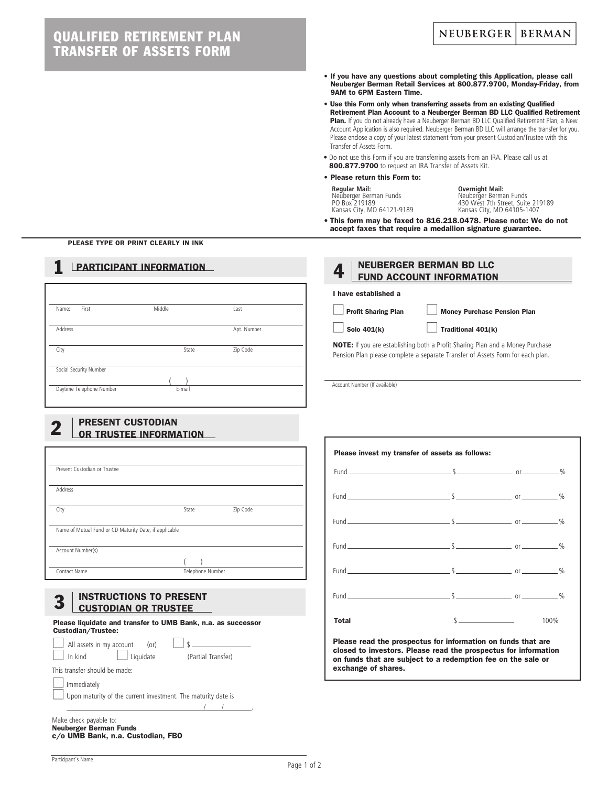# QUALIFIED RETIREMENT PLAN TRANSFER OF ASSETS FORM

- If you have any questions about completing this Application, please call Neuberger Berman Retail Services at 800.877.9700, Monday-Friday, from 9AM to 6PM Eastern Time.
- Use this Form only when transferring assets from an existing Qualified Retirement Plan Account to a Neuberger Berman BD LLC Qualified Retirement Plan. If you do not already have a Neuberger Berman BD LLC Qualified Retirement Plan, a New Account Application is also required. Neuberger Berman BD LLC will arrange the transfer for you. Please enclose a copy of your latest statement from your present Custodian/Trustee with this Transfer of Assets Form.
- Do not use this Form if you are transferring assets from an IRA. Please call us at 800.877.9700 to request an IRA Transfer of Assets Kit.

### • Please return this Form to:

**Regular Mail: Overnight Mail:** Neuberger Berman Funds Neuberger Berman Funds

I have established a

Account Number (If available)

Neuberger Berman<br>
1998 - Holland Box 219189<br>
1998 - Kansas City, MO 64105-1407 Kansas City, MO 64121-9189 Kansas City, MO 64105-1407

• This form may be faxed to 816.218.0478. Please note: We do not accept faxes that require a medallion signature guarantee.

Profit Sharing Plan | Money Purchase Pension Plan

NOTE: If you are establishing both a Profit Sharing Plan and a Money Purchase Pension Plan please complete a separate Transfer of Assets Form for each plan.

 $Solo 401(k)$  Traditional  $401(k)$ 

**4** NEUBERGER BERMAN BD LLC

Please invest my transfer of assets as follows:

Fund \$ or %

Fund \$ or %

Fund \$ or %

Fund \$ or %

Fund \$ or %

Fund \$ or %

**Total** 100%

Please read the prospectus for information on funds that are closed to investors. Please read the prospectus for information on funds that are subject to a redemption fee on the sale or

exchange of shares.

PLEASE TYPE OR PRINT CLEARLY IN INK

# **PARTICIPANT INFORMATION**

| Middle | Last        |
|--------|-------------|
|        | Apt. Number |
| State  | Zip Code    |
|        |             |
|        |             |
|        |             |

# **2** PRESENT CUSTODIAN<br>**OR TRUSTEE INFORMATION**

| Present Custodian or Trustee                           |                  |          |
|--------------------------------------------------------|------------------|----------|
|                                                        |                  |          |
| Address                                                |                  |          |
|                                                        |                  |          |
| City                                                   | State            | Zip Code |
|                                                        |                  |          |
| Name of Mutual Fund or CD Maturity Date, if applicable |                  |          |
|                                                        |                  |          |
| Account Number(s)                                      |                  |          |
|                                                        |                  |          |
| Contact Name                                           | Telephone Number |          |

# **INSTRUCTIONS TO PRESENT** CUSTODIAN OR TRUSTEE

Please liquidate and transfer to UMB Bank, n.a. as successor Custodian/Trustee:

| All assets in my account (or)                                        |                    |
|----------------------------------------------------------------------|--------------------|
| Liquidate<br>h kind                                                  | (Partial Transfer) |
| This transfer should be made:                                        |                    |
| Immediately                                                          |                    |
| $\Box$ Upon maturity of the current investment. The maturity date is |                    |
|                                                                      |                    |

Make check payable to: Neuberger Berman Funds c/o UMB Bank, n.a. Custodian, FBO

### Participant's Name